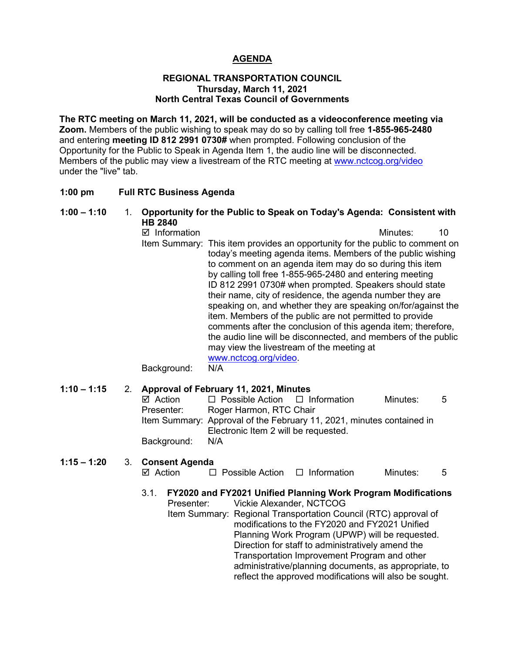## **AGENDA**

#### **REGIONAL TRANSPORTATION COUNCIL Thursday, March 11, 2021 North Central Texas Council of Governments**

**The RTC meeting on March 11, 2021, will be conducted as a videoconference meeting via Zoom.** Members of the public wishing to speak may do so by calling toll free **1-855-965-2480**  and entering **meeting ID 812 2991 0730#** when prompted. Following conclusion of the Opportunity for the Public to Speak in Agenda Item 1, the audio line will be disconnected. Members of the public may view a livestream of the RTC meeting at [www.nctcog.org/video](http://www.nctcog.org/video) under the "live" tab.

#### **1:00 pm Full RTC Business Agenda**

#### **1:00 – 1:10** 1. **Opportunity for the Public to Speak on Today's Agenda: Consistent with HB 2840**

 Information Minutes: 10 Item Summary: This item provides an opportunity for the public to comment on today's meeting agenda items. Members of the public wishing to comment on an agenda item may do so during this item by calling toll free 1-855-965-2480 and entering meeting ID 812 2991 0730# when prompted. Speakers should state their name, city of residence, the agenda number they are speaking on, and whether they are speaking on/for/against the item. Members of the public are not permitted to provide comments after the conclusion of this agenda item; therefore, the audio line will be disconnected, and members of the public may view the livestream of the meeting at [www.nctcog.org/video.](http://www.nctcog.org/video)<br>N/A

Background:

#### **1:10 – 1:15** 2. **Approval of February 11, 2021, Minutes**

| ⊠ Action    | $\Box$ Possible Action $\Box$ Information |                                                                       | Minutes: | .5 |
|-------------|-------------------------------------------|-----------------------------------------------------------------------|----------|----|
| Presenter:  | Roger Harmon, RTC Chair                   |                                                                       |          |    |
|             |                                           | Item Summary: Approval of the February 11, 2021, minutes contained in |          |    |
|             | Electronic Item 2 will be requested.      |                                                                       |          |    |
| Background: | N/A                                       |                                                                       |          |    |
|             |                                           |                                                                       |          |    |

#### **1:15 – 1:20** 3. **Consent Agenda**  $\Box$  Possible Action  $\Box$  Information Minutes: 5

- 3.1. **FY2020 and FY2021 Unified Planning Work Program Modifications**
	- Presenter: Vickie Alexander, NCTCOG Item Summary: Regional Transportation Council (RTC) approval of modifications to the FY2020 and FY2021 Unified Planning Work Program (UPWP) will be requested. Direction for staff to administratively amend the Transportation Improvement Program and other administrative/planning documents, as appropriate, to reflect the approved modifications will also be sought.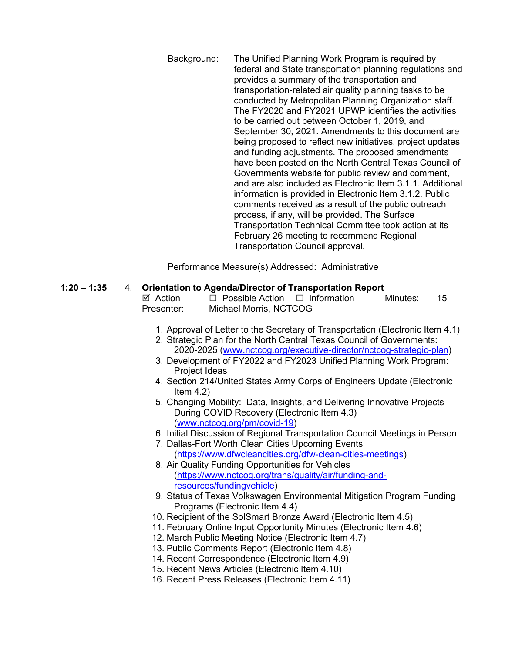Background: The Unified Planning Work Program is required by federal and State transportation planning regulations and provides a summary of the transportation and transportation-related air quality planning tasks to be conducted by Metropolitan Planning Organization staff. The FY2020 and FY2021 UPWP identifies the activities to be carried out between October 1, 2019, and September 30, 2021. Amendments to this document are being proposed to reflect new initiatives, project updates and funding adjustments. The proposed amendments have been posted on the North Central Texas Council of Governments website for public review and comment, and are also included as Electronic Item 3.1.1. Additional information is provided in Electronic Item 3.1.2. Public comments received as a result of the public outreach process, if any, will be provided. The Surface Transportation Technical Committee took action at its February 26 meeting to recommend Regional Transportation Council approval.

Performance Measure(s) Addressed: Administrative

#### **1:20 – 1:35** 4. **Orientation to Agenda/Director of Transportation Report**

| $\boxtimes$ Action | $\Box$ Possible Action $\Box$ Information | Minutes: | -15 |
|--------------------|-------------------------------------------|----------|-----|
| Presenter:         | Michael Morris, NCTCOG                    |          |     |

- 1. Approval of Letter to the Secretary of Transportation (Electronic Item 4.1)
- 2. Strategic Plan for the North Central Texas Council of Governments: 2020-2025 [\(www.nctcog.org/executive-director/nctcog-strategic-plan\)](http://www.nctcog.org/executive-director/nctcog-strategic-plan)
- 3. Development of FY2022 and FY2023 Unified Planning Work Program: Project Ideas
- 4. Section 214/United States Army Corps of Engineers Update (Electronic Item  $4.2$ )
- 5. Changing Mobility: Data, Insights, and Delivering Innovative Projects During COVID Recovery (Electronic Item 4.3) [\(www.nctcog.org/pm/covid-19\)](http://www.nctcog.org/pm/covid-19)
- 6. Initial Discussion of Regional Transportation Council Meetings in Person
- 7. Dallas-Fort Worth Clean Cities Upcoming Events [\(https://www.dfwcleancities.org/dfw-clean-cities-meetings\)](https://www.dfwcleancities.org/dfw-clean-cities-meetings)
- 8. Air Quality Funding Opportunities for Vehicles [\(https://www.nctcog.org/trans/quality/air/funding-and](https://www.nctcog.org/trans/quality/air/funding-and-resources/fundingvehicle)[resources/fundingvehicle\)](https://www.nctcog.org/trans/quality/air/funding-and-resources/fundingvehicle)
- 9. Status of Texas Volkswagen Environmental Mitigation Program Funding Programs (Electronic Item 4.4)
- 10. Recipient of the SolSmart Bronze Award (Electronic Item 4.5)
- 11. February Online Input Opportunity Minutes (Electronic Item 4.6)
- 12. March Public Meeting Notice (Electronic Item 4.7)
- 13. Public Comments Report (Electronic Item 4.8)
- 14. Recent Correspondence (Electronic Item 4.9)
- 15. Recent News Articles (Electronic Item 4.10)
- 16. Recent Press Releases (Electronic Item 4.11)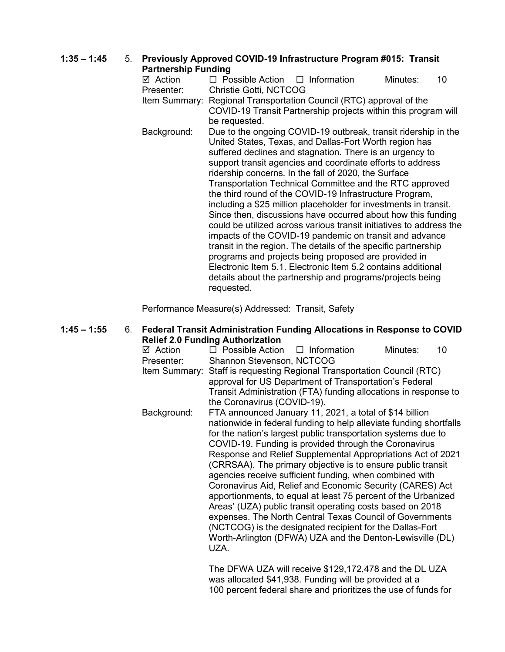#### **1:35 – 1:45** 5. **Previously Approved COVID-19 Infrastructure Program #015: Transit Partnership Funding**

| Faille Silly Fullully  |                                                                                                                                                                                                                                                                                                                                                                                                                                                                                                                                                                                                                                                                                                                                                                                                                                                                                                                                                                             |                                                                                                                                       |          |    |  |  |
|------------------------|-----------------------------------------------------------------------------------------------------------------------------------------------------------------------------------------------------------------------------------------------------------------------------------------------------------------------------------------------------------------------------------------------------------------------------------------------------------------------------------------------------------------------------------------------------------------------------------------------------------------------------------------------------------------------------------------------------------------------------------------------------------------------------------------------------------------------------------------------------------------------------------------------------------------------------------------------------------------------------|---------------------------------------------------------------------------------------------------------------------------------------|----------|----|--|--|
| ⊠ Action<br>Presenter: | $\Box$ Possible Action $\Box$ Information<br>Christie Gotti, NCTCOG                                                                                                                                                                                                                                                                                                                                                                                                                                                                                                                                                                                                                                                                                                                                                                                                                                                                                                         |                                                                                                                                       | Minutes: | 10 |  |  |
|                        | be requested.                                                                                                                                                                                                                                                                                                                                                                                                                                                                                                                                                                                                                                                                                                                                                                                                                                                                                                                                                               | Item Summary: Regional Transportation Council (RTC) approval of the<br>COVID-19 Transit Partnership projects within this program will |          |    |  |  |
| Background:            | Due to the ongoing COVID-19 outbreak, transit ridership in the<br>United States, Texas, and Dallas-Fort Worth region has<br>suffered declines and stagnation. There is an urgency to<br>support transit agencies and coordinate efforts to address<br>ridership concerns. In the fall of 2020, the Surface<br>Transportation Technical Committee and the RTC approved<br>the third round of the COVID-19 Infrastructure Program,<br>including a \$25 million placeholder for investments in transit.<br>Since then, discussions have occurred about how this funding<br>could be utilized across various transit initiatives to address the<br>impacts of the COVID-19 pandemic on transit and advance<br>transit in the region. The details of the specific partnership<br>programs and projects being proposed are provided in<br>Electronic Item 5.1. Electronic Item 5.2 contains additional<br>details about the partnership and programs/projects being<br>requested. |                                                                                                                                       |          |    |  |  |

Performance Measure(s) Addressed: Transit, Safety

### **1:45 – 1:55** 6. **Federal Transit Administration Funding Allocations in Response to COVID Relief 2.0 Funding Authorization**

| $\boxtimes$ Action                                        | $\Box$ Possible Action $\Box$ Information                               |  | Minutes: | 10 |  |  |  |
|-----------------------------------------------------------|-------------------------------------------------------------------------|--|----------|----|--|--|--|
| Presenter:                                                | Shannon Stevenson, NCTCOG                                               |  |          |    |  |  |  |
|                                                           | Item Summary: Staff is requesting Regional Transportation Council (RTC) |  |          |    |  |  |  |
|                                                           | approval for US Department of Transportation's Federal                  |  |          |    |  |  |  |
|                                                           | Transit Administration (FTA) funding allocations in response to         |  |          |    |  |  |  |
|                                                           | the Coronavirus (COVID-19).                                             |  |          |    |  |  |  |
| Background:                                               | FTA announced January 11, 2021, a total of \$14 billion                 |  |          |    |  |  |  |
|                                                           | nationwide in federal funding to help alleviate funding shortfalls      |  |          |    |  |  |  |
|                                                           | for the nation's largest public transportation systems due to           |  |          |    |  |  |  |
|                                                           | COVID-19. Funding is provided through the Coronavirus                   |  |          |    |  |  |  |
|                                                           | Response and Relief Supplemental Appropriations Act of 2021             |  |          |    |  |  |  |
|                                                           | (CRRSAA). The primary objective is to ensure public transit             |  |          |    |  |  |  |
|                                                           | agencies receive sufficient funding, when combined with                 |  |          |    |  |  |  |
| Coronavirus Aid, Relief and Economic Security (CARES) Act |                                                                         |  |          |    |  |  |  |
|                                                           | apportionments, to equal at least 75 percent of the Urbanized           |  |          |    |  |  |  |
|                                                           | Areas' (UZA) public transit operating costs based on 2018               |  |          |    |  |  |  |
|                                                           | expenses. The North Central Texas Council of Governments                |  |          |    |  |  |  |
|                                                           | (NCTCOG) is the designated recipient for the Dallas-Fort                |  |          |    |  |  |  |
|                                                           | Worth-Arlington (DFWA) UZA and the Denton-Lewisville (DL)               |  |          |    |  |  |  |
|                                                           | UZA.                                                                    |  |          |    |  |  |  |
|                                                           |                                                                         |  |          |    |  |  |  |
|                                                           | The DEWA LIZA will receive \$120 172 478 and the DL LIZA                |  |          |    |  |  |  |

The DFWA UZA will receive \$129,172,478 and the DL UZA was allocated \$41,938. Funding will be provided at a 100 percent federal share and prioritizes the use of funds for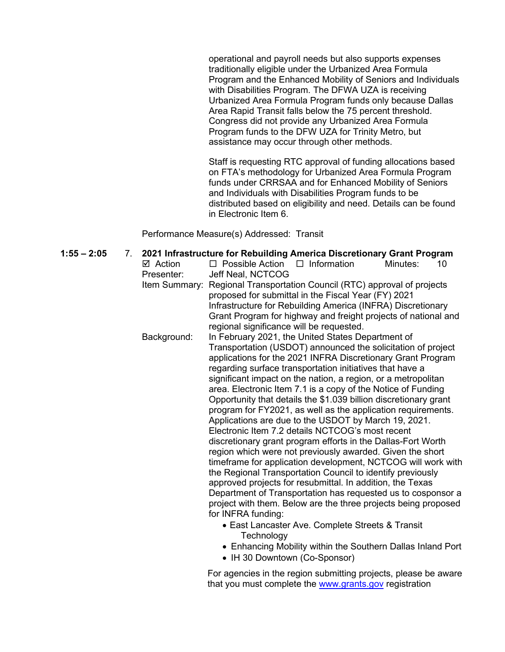operational and payroll needs but also supports expenses traditionally eligible under the Urbanized Area Formula Program and the Enhanced Mobility of Seniors and Individuals with Disabilities Program. The DFWA UZA is receiving Urbanized Area Formula Program funds only because Dallas Area Rapid Transit falls below the 75 percent threshold. Congress did not provide any Urbanized Area Formula Program funds to the DFW UZA for Trinity Metro, but assistance may occur through other methods.

Staff is requesting RTC approval of funding allocations based on FTA's methodology for Urbanized Area Formula Program funds under CRRSAA and for Enhanced Mobility of Seniors and Individuals with Disabilities Program funds to be distributed based on eligibility and need. Details can be found in Electronic Item 6.

Performance Measure(s) Addressed: Transit

**1:55 – 2:05** 7. **2021 Infrastructure for Rebuilding America Discretionary Grant Program**  $\boxtimes$  Action  $\Box$  Possible Action  $\Box$  Information Minutes: 10 Presenter: Jeff Neal, NCTCOG Item Summary: Regional Transportation Council (RTC) approval of projects proposed for submittal in the Fiscal Year (FY) 2021 Infrastructure for Rebuilding America (INFRA) Discretionary Grant Program for highway and freight projects of national and regional significance will be requested. Background: In February 2021, the United States Department of Transportation (USDOT) announced the solicitation of project applications for the 2021 INFRA Discretionary Grant Program regarding surface transportation initiatives that have a significant impact on the nation, a region, or a metropolitan area. Electronic Item 7.1 is a copy of the Notice of Funding Opportunity that details the \$1.039 billion discretionary grant program for FY2021, as well as the application requirements. Applications are due to the USDOT by March 19, 2021. Electronic Item 7.2 details NCTCOG's most recent discretionary grant program efforts in the Dallas-Fort Worth region which were not previously awarded. Given the short timeframe for application development, NCTCOG will work with the Regional Transportation Council to identify previously approved projects for resubmittal. In addition, the Texas Department of Transportation has requested us to cosponsor a project with them. Below are the three projects being proposed for INFRA funding: • East Lancaster Ave. Complete Streets & Transit **Technology** • Enhancing Mobility within the Southern Dallas Inland Port

• IH 30 Downtown (Co-Sponsor)

For agencies in the region submitting projects, please be aware that you must complete the [www.grants.gov](http://www.grants.gov/) registration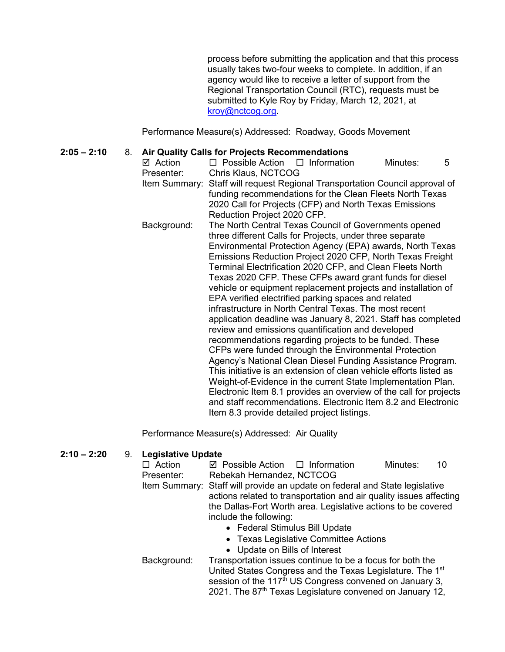process before submitting the application and that this process usually takes two-four weeks to complete. In addition, if an agency would like to receive a letter of support from the Regional Transportation Council (RTC), requests must be submitted to Kyle Roy by Friday, March 12, 2021, at [kroy@nctcog.org.](mailto:kroy@nctcog.org)

Performance Measure(s) Addressed: Roadway, Goods Movement

#### **2:05 – 2:10** 8. **Air Quality Calls for Projects Recommendations**

| $\boxtimes$ Action | $\Box$ Possible Action $\Box$ Information                                                                                                                                                                                                                                                                                                                                                                                                                                                                                                                                                                                                                                                                                                                                                                                                                                                                                                                                                                                                                                                                                                |  |  | Minutes: | 5 |  |
|--------------------|------------------------------------------------------------------------------------------------------------------------------------------------------------------------------------------------------------------------------------------------------------------------------------------------------------------------------------------------------------------------------------------------------------------------------------------------------------------------------------------------------------------------------------------------------------------------------------------------------------------------------------------------------------------------------------------------------------------------------------------------------------------------------------------------------------------------------------------------------------------------------------------------------------------------------------------------------------------------------------------------------------------------------------------------------------------------------------------------------------------------------------------|--|--|----------|---|--|
| Presenter:         | Chris Klaus, NCTCOG                                                                                                                                                                                                                                                                                                                                                                                                                                                                                                                                                                                                                                                                                                                                                                                                                                                                                                                                                                                                                                                                                                                      |  |  |          |   |  |
|                    | Item Summary: Staff will request Regional Transportation Council approval of<br>funding recommendations for the Clean Fleets North Texas                                                                                                                                                                                                                                                                                                                                                                                                                                                                                                                                                                                                                                                                                                                                                                                                                                                                                                                                                                                                 |  |  |          |   |  |
|                    | 2020 Call for Projects (CFP) and North Texas Emissions<br>Reduction Project 2020 CFP.                                                                                                                                                                                                                                                                                                                                                                                                                                                                                                                                                                                                                                                                                                                                                                                                                                                                                                                                                                                                                                                    |  |  |          |   |  |
| Background:        | The North Central Texas Council of Governments opened<br>three different Calls for Projects, under three separate<br>Environmental Protection Agency (EPA) awards, North Texas<br>Emissions Reduction Project 2020 CFP, North Texas Freight<br>Terminal Electrification 2020 CFP, and Clean Fleets North<br>Texas 2020 CFP. These CFPs award grant funds for diesel<br>vehicle or equipment replacement projects and installation of<br>EPA verified electrified parking spaces and related<br>infrastructure in North Central Texas. The most recent<br>application deadline was January 8, 2021. Staff has completed<br>review and emissions quantification and developed<br>recommendations regarding projects to be funded. These<br>CFPs were funded through the Environmental Protection<br>Agency's National Clean Diesel Funding Assistance Program.<br>This initiative is an extension of clean vehicle efforts listed as<br>Weight-of-Evidence in the current State Implementation Plan.<br>Electronic Item 8.1 provides an overview of the call for projects<br>and staff recommendations. Electronic Item 8.2 and Electronic |  |  |          |   |  |
|                    | Item 8.3 provide detailed project listings.                                                                                                                                                                                                                                                                                                                                                                                                                                                                                                                                                                                                                                                                                                                                                                                                                                                                                                                                                                                                                                                                                              |  |  |          |   |  |

Performance Measure(s) Addressed: Air Quality

#### **2:10 – 2:20** 9. **Legislative Update**

| $\Box$ Action | $\boxtimes$ Possible Action $\Box$ Information                              |                                                                       | Minutes: | 10 |  |
|---------------|-----------------------------------------------------------------------------|-----------------------------------------------------------------------|----------|----|--|
| Presenter:    | Rebekah Hernandez, NCTCOG                                                   |                                                                       |          |    |  |
|               | Item Summary: Staff will provide an update on federal and State legislative |                                                                       |          |    |  |
|               |                                                                             | actions related to transportation and air quality issues affecting    |          |    |  |
|               |                                                                             | the Dallas-Fort Worth area. Legislative actions to be covered         |          |    |  |
|               | include the following:                                                      |                                                                       |          |    |  |
|               | • Federal Stimulus Bill Update                                              |                                                                       |          |    |  |
|               |                                                                             | • Texas Legislative Committee Actions                                 |          |    |  |
|               | • Update on Bills of Interest                                               |                                                                       |          |    |  |
| Background:   |                                                                             | Transportation issues continue to be a focus for both the             |          |    |  |
|               |                                                                             | United States Congress and the Texas Legislature. The 1 <sup>st</sup> |          |    |  |
|               |                                                                             | session of the 117 <sup>th</sup> US Congress convened on January 3,   |          |    |  |
|               |                                                                             |                                                                       |          |    |  |

2021. The 87<sup>th</sup> Texas Legislature convened on January 12,